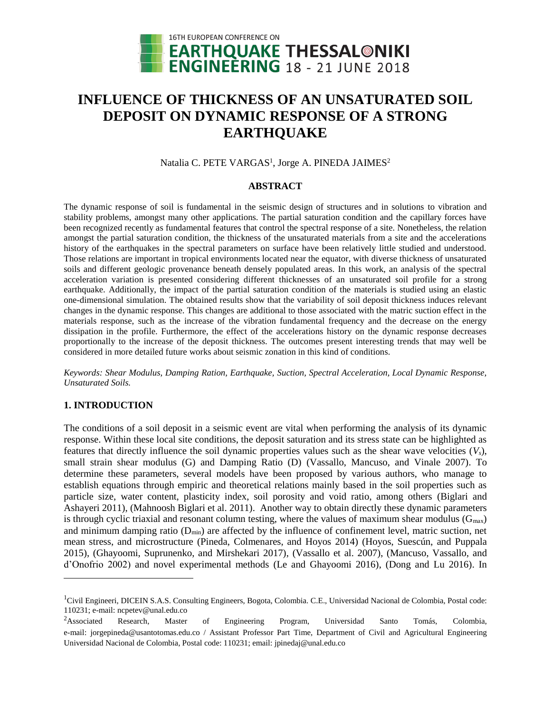

# **INFLUENCE OF THICKNESS OF AN UNSATURATED SOIL DEPOSIT ON DYNAMIC RESPONSE OF A STRONG EARTHQUAKE**

Natalia C. PETE VARGAS<sup>1</sup>, Jorge A. PINEDA JAIMES<sup>2</sup>

## **ABSTRACT**

The dynamic response of soil is fundamental in the seismic design of structures and in solutions to vibration and stability problems, amongst many other applications. The partial saturation condition and the capillary forces have been recognized recently as fundamental features that control the spectral response of a site. Nonetheless, the relation amongst the partial saturation condition, the thickness of the unsaturated materials from a site and the accelerations history of the earthquakes in the spectral parameters on surface have been relatively little studied and understood. Those relations are important in tropical environments located near the equator, with diverse thickness of unsaturated soils and different geologic provenance beneath densely populated areas. In this work, an analysis of the spectral acceleration variation is presented considering different thicknesses of an unsaturated soil profile for a strong earthquake. Additionally, the impact of the partial saturation condition of the materials is studied using an elastic one-dimensional simulation. The obtained results show that the variability of soil deposit thickness induces relevant changes in the dynamic response. This changes are additional to those associated with the matric suction effect in the materials response, such as the increase of the vibration fundamental frequency and the decrease on the energy dissipation in the profile. Furthermore, the effect of the accelerations history on the dynamic response decreases proportionally to the increase of the deposit thickness. The outcomes present interesting trends that may well be considered in more detailed future works about seismic zonation in this kind of conditions.

*Keywords: Shear Modulus, Damping Ration, Earthquake, Suction, Spectral Acceleration, Local Dynamic Response, Unsaturated Soils.*

# **1. INTRODUCTION**

 $\overline{a}$ 

The conditions of a soil deposit in a seismic event are vital when performing the analysis of its dynamic response. Within these local site conditions, the deposit saturation and its stress state can be highlighted as features that directly influence the soil dynamic properties values such as the shear wave velocities  $(V_s)$ , small strain shear modulus (G) and Damping Ratio (D) (Vassallo, Mancuso, and Vinale 2007). To determine these parameters, several models have been proposed by various authors, who manage to establish equations through empiric and theoretical relations mainly based in the soil properties such as particle size, water content, plasticity index, soil porosity and void ratio, among others (Biglari and Ashayeri 2011), (Mahnoosh Biglari et al. 2011). Another way to obtain directly these dynamic parameters is through cyclic triaxial and resonant column testing, where the values of maximum shear modulus ( $G_{max}$ ) and minimum damping ratio  $(D_{min})$  are affected by the influence of confinement level, matric suction, net mean stress, and microstructure (Pineda, Colmenares, and Hoyos 2014) (Hoyos, Suescún, and Puppala 2015), (Ghayoomi, Suprunenko, and Mirshekari 2017), (Vassallo et al. 2007), (Mancuso, Vassallo, and d'Onofrio 2002) and novel experimental methods (Le and Ghayoomi 2016), (Dong and Lu 2016). In

<sup>&</sup>lt;sup>1</sup>Civil Engineeri, DICEIN S.A.S. Consulting Engineers, Bogota, Colombia. C.E., Universidad Nacional de Colombia, Postal code: 110231; e-mail: ncpetev@unal.edu.co

 $2A$ ssociated Research, Master of Engineering Program, Universidad Santo Tomás, Colombia, e-mail: jorgepineda@usantotomas.edu.co / Assistant Professor Part Time, Department of Civil and Agricultural Engineering Universidad Nacional de Colombia, Postal code: 110231; email: jpinedaj@unal.edu.co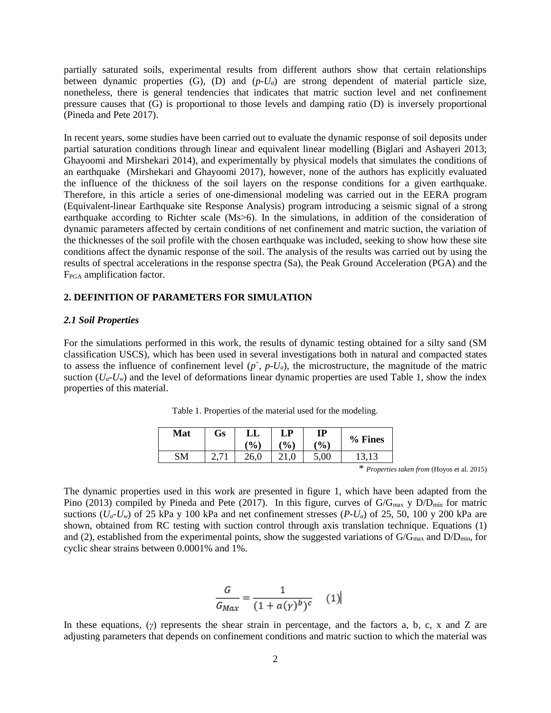partially saturated soils, experimental results from different authors show that certain relationships between dynamic properties  $(G)$ ,  $(D)$  and  $(p-U_a)$  are strong dependent of material particle size, nonetheless, there is general tendencies that indicates that matric suction level and net confinement pressure causes that (G) is proportional to those levels and damping ratio (D) is inversely proportional (Pineda and Pete 2017).

In recent years, some studies have been carried out to evaluate the dynamic response of soil deposits under partial saturation conditions through linear and equivalent linear modelling (Biglari and Ashayeri 2013; Ghayoomi and Mirshekari 2014), and experimentally by physical models that simulates the conditions of an earthquake (Mirshekari and Ghayoomi 2017), however, none of the authors has explicitly evaluated the influence of the thickness of the soil layers on the response conditions for a given earthquake. Therefore, in this article a series of one-dimensional modeling was carried out in the EERA program (Equivalent-linear Earthquake site Response Analysis) program introducing a seismic signal of a strong earthquake according to Richter scale (Ms>6). In the simulations, in addition of the consideration of dynamic parameters affected by certain conditions of net confinement and matric suction, the variation of the thicknesses of the soil profile with the chosen earthquake was included, seeking to show how these site conditions affect the dynamic response of the soil. The analysis of the results was carried out by using the results of spectral accelerations in the response spectra (Sa), the Peak Ground Acceleration (PGA) and the FPGA amplification factor.

## **2. DEFINITION OF PARAMETERS FOR SIMULATION**

#### *2.1 Soil Properties*

For the simulations performed in this work, the results of dynamic testing obtained for a silty sand (SM classification USCS), which has been used in several investigations both in natural and compacted states to assess the influence of confinement level  $(p^{\cdot}, p-U_a)$ , the microstructure, the magnitude of the matric suction  $(U_a-U_w)$  and the level of deformations linear dynamic properties are used Table 1, show the index properties of this material.

| Mat | Gs | LL<br>$\frac{9}{0}$ | LP<br>$\mathcal{O}(6)$ | IP<br>(%) | % Fines |
|-----|----|---------------------|------------------------|-----------|---------|
| SM  |    | 26,0                | 21.0                   | 5,00      |         |

Table 1. Properties of the material used for the modeling.

\* *Properties taken from* (Hoyos et al. 2015)

The dynamic properties used in this work are presented in figure 1, which have been adapted from the Pino (2013) compiled by Pineda and Pete (2017). In this figure, curves of  $G/G_{max}$  y  $D/D_{min}$  for matric suctions  $(U_a-U_w)$  of 25 kPa y 100 kPa and net confinement stresses  $(P-U_a)$  of 25, 50, 100 y 200 kPa are shown, obtained from RC testing with suction control through axis translation technique. Equations (1) and (2), established from the experimental points, show the suggested variations of  $G/G_{\text{max}}$  and  $D/D_{\text{min}}$ , for cyclic shear strains between 0.0001% and 1%.

$$
\frac{G}{G_{Max}} = \frac{1}{(1 + a(\gamma)^b)^c} \quad (1)
$$

In these equations, (*γ*) represents the shear strain in percentage, and the factors a, b, c, x and Z are adjusting parameters that depends on confinement conditions and matric suction to which the material was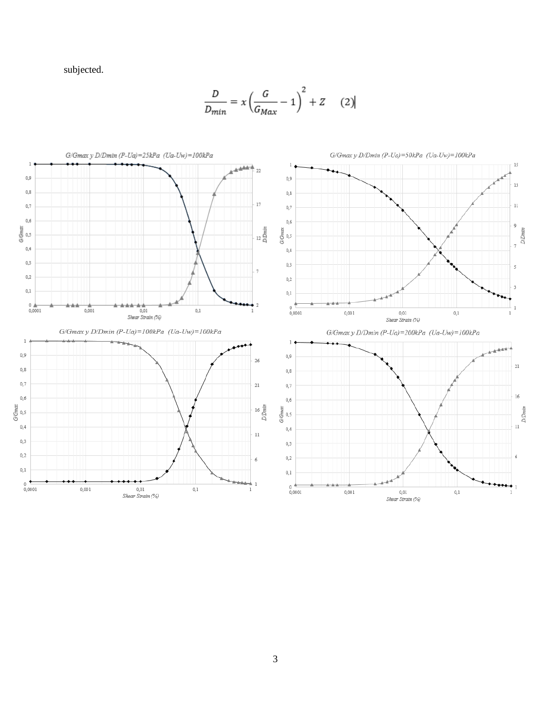subjected.

$$
\frac{D}{D_{min}} = x \left( \frac{G}{G_{Max}} - 1 \right)^2 + Z \qquad (2)
$$

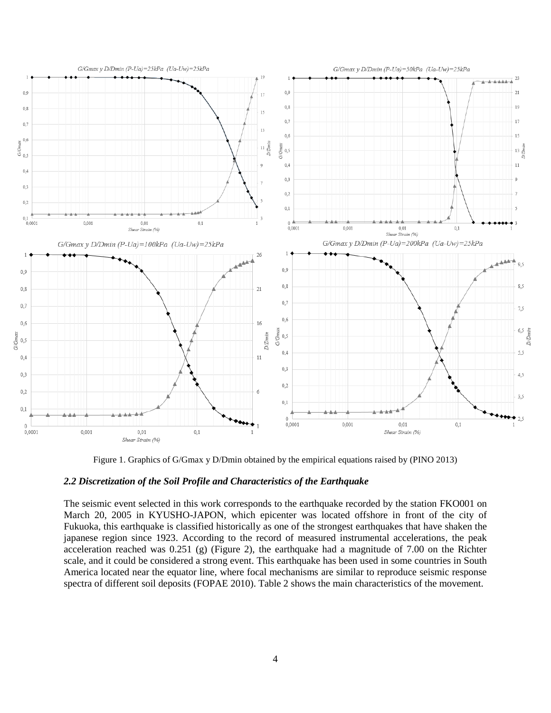

Figure 1. Graphics of G/Gmax y D/Dmin obtained by the empirical equations raised by (PINO 2013)

#### *2.2 Discretization of the Soil Profile and Characteristics of the Earthquake*

The seismic event selected in this work corresponds to the earthquake recorded by the station FKO001 on March 20, 2005 in KYUSHO-JAPON, which epicenter was located offshore in front of the city of Fukuoka, this earthquake is classified historically as one of the strongest earthquakes that have shaken the japanese region since 1923. According to the record of measured instrumental accelerations, the peak acceleration reached was 0.251 (g) (Figure 2), the earthquake had a magnitude of 7.00 on the Richter scale, and it could be considered a strong event. This earthquake has been used in some countries in South America located near the equator line, where focal mechanisms are similar to reproduce seismic response spectra of different soil deposits (FOPAE 2010). Table 2 shows the main characteristics of the movement.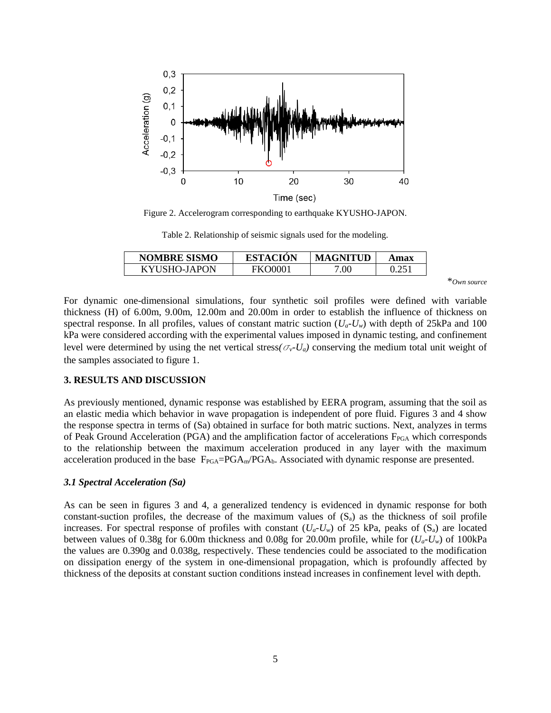

Figure 2. Accelerogram corresponding to earthquake KYUSHO-JAPON.

Table 2. Relationship of seismic signals used for the modeling.

| <b>NOMBRE SISMO</b> | <b>ESTACION</b> | <b>MAGNITUD</b> | Amax  |
|---------------------|-----------------|-----------------|-------|
| KYUSHO-JAPON        | <b>FKO0001</b>  | 0.00            | 0.251 |
|                     |                 |                 |       |

\**Own source*

For dynamic one-dimensional simulations, four synthetic soil profiles were defined with variable thickness (H) of 6.00m, 9.00m, 12.00m and 20.00m in order to establish the influence of thickness on spectral response. In all profiles, values of constant matric suction  $(U_a-U_w)$  with depth of 25kPa and 100 kPa were considered according with the experimental values imposed in dynamic testing, and confinement level were determined by using the net vertical stress( $\sigma_v$ - $U_a$ ) conserving the medium total unit weight of the samples associated to figure 1.

#### **3. RESULTS AND DISCUSSION**

As previously mentioned, dynamic response was established by EERA program, assuming that the soil as an elastic media which behavior in wave propagation is independent of pore fluid. Figures 3 and 4 show the response spectra in terms of (Sa) obtained in surface for both matric suctions. Next, analyzes in terms of Peak Ground Acceleration (PGA) and the amplification factor of accelerations  $F_{PGA}$  which corresponds to the relationship between the maximum acceleration produced in any layer with the maximum acceleration produced in the base  $F_{PGA}=PGA_m/PGA_b$ . Associated with dynamic response are presented.

### *3.1 Spectral Acceleration (Sa)*

As can be seen in figures 3 and 4, a generalized tendency is evidenced in dynamic response for both constant-suction profiles, the decrease of the maximum values of  $(S_a)$  as the thickness of soil profile increases. For spectral response of profiles with constant  $(U_a-U_w)$  of 25 kPa, peaks of  $(S_a)$  are located between values of 0.38g for 6.00m thickness and 0.08g for 20.00m profile, while for (*Ua-Uw*) of 100kPa the values are 0.390g and 0.038g, respectively. These tendencies could be associated to the modification on dissipation energy of the system in one-dimensional propagation, which is profoundly affected by thickness of the deposits at constant suction conditions instead increases in confinement level with depth.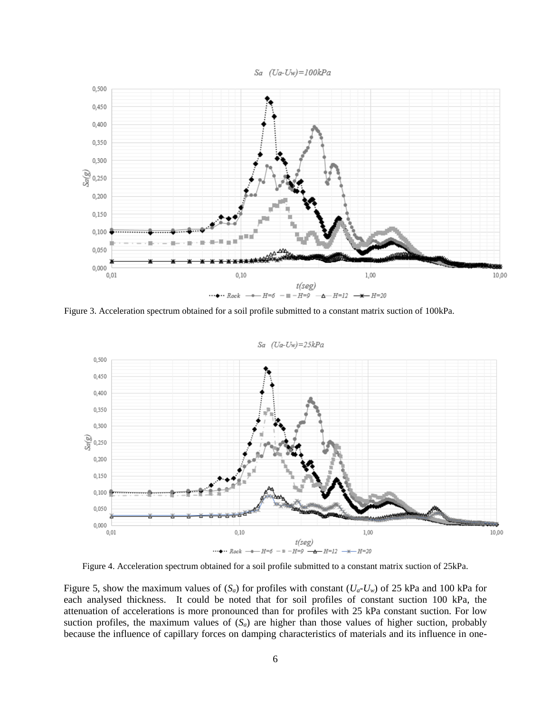Sa (Ua-Uw)=100kPa



Figure 3. Acceleration spectrum obtained for a soil profile submitted to a constant matrix suction of 100kPa.



Figure 4. Acceleration spectrum obtained for a soil profile submitted to a constant matrix suction of 25kPa.

Figure 5, show the maximum values of  $(S_a)$  for profiles with constant  $(U_a-U_w)$  of 25 kPa and 100 kPa for each analysed thickness. It could be noted that for soil profiles of constant suction 100 kPa, the attenuation of accelerations is more pronounced than for profiles with 25 kPa constant suction. For low suction profiles, the maximum values of  $(S_a)$  are higher than those values of higher suction, probably because the influence of capillary forces on damping characteristics of materials and its influence in one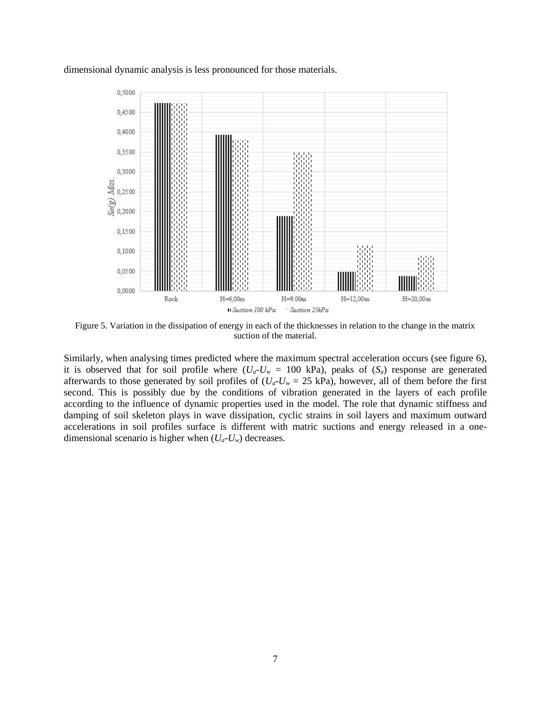dimensional dynamic analysis is less pronounced for those materials.



Figure 5. Variation in the dissipation of energy in each of the thicknesses in relation to the change in the matrix suction of the material.

Similarly, when analysing times predicted where the maximum spectral acceleration occurs (see figure 6), it is observed that for soil profile where  $(U_a-U_w = 100 \text{ kPa})$ , peaks of  $(S_a)$  response are generated afterwards to those generated by soil profiles of  $(U_a-U_w = 25 \text{ kPa})$ , however, all of them before the first second. This is possibly due by the conditions of vibration generated in the layers of each profile according to the influence of dynamic properties used in the model. The role that dynamic stiffness and damping of soil skeleton plays in wave dissipation, cyclic strains in soil layers and maximum outward accelerations in soil profiles surface is different with matric suctions and energy released in a onedimensional scenario is higher when  $(U_a-U_w)$  decreases.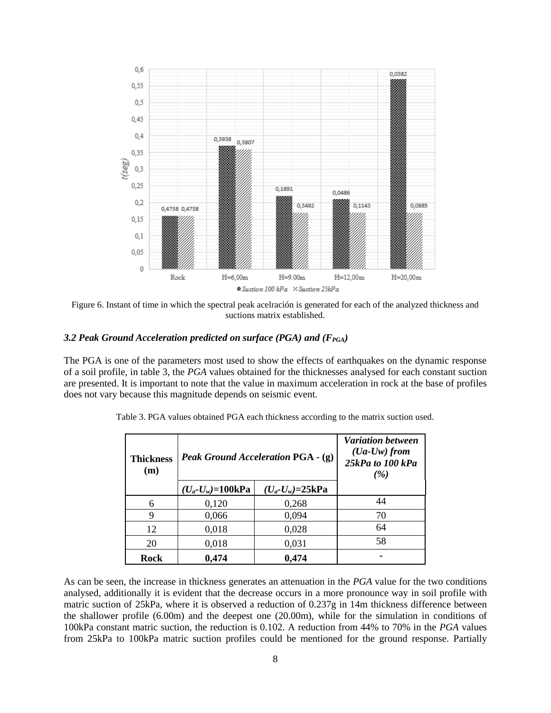

Figure 6. Instant of time in which the spectral peak acelración is generated for each of the analyzed thickness and suctions matrix established.

## *3.2 Peak Ground Acceleration predicted on surface (PGA) and (FPGA)*

The PGA is one of the parameters most used to show the effects of earthquakes on the dynamic response of a soil profile, in table 3, the *PGA* values obtained for the thicknesses analysed for each constant suction are presented. It is important to note that the value in maximum acceleration in rock at the base of profiles does not vary because this magnitude depends on seismic event.

| <b>Thickness</b><br>(m) | Peak Ground Acceleration PGA - (g) | <b>Variation between</b><br>$(Ua-Uw)$ from<br>25kPa to 100 kPa<br>(%) |    |
|-------------------------|------------------------------------|-----------------------------------------------------------------------|----|
|                         | $(U_a-U_w)=100kPa$                 | $(U_a-U_w)=25kPa$                                                     |    |
| 6                       | 0,120                              | 0,268                                                                 | 44 |
| 9                       | 0,066                              | 0,094                                                                 | 70 |
| 12                      | 0,018                              | 0,028                                                                 | 64 |
| 20                      | 0,018                              | 0,031                                                                 | 58 |
| Rock                    | 0,474                              | 0,474                                                                 |    |

Table 3. PGA values obtained PGA each thickness according to the matrix suction used.

As can be seen, the increase in thickness generates an attenuation in the *PGA* value for the two conditions analysed, additionally it is evident that the decrease occurs in a more pronounce way in soil profile with matric suction of 25kPa, where it is observed a reduction of 0.237g in 14m thickness difference between the shallower profile (6.00m) and the deepest one (20.00m), while for the simulation in conditions of 100kPa constant matric suction, the reduction is 0.102. A reduction from 44% to 70% in the *PGA* values from 25kPa to 100kPa matric suction profiles could be mentioned for the ground response. Partially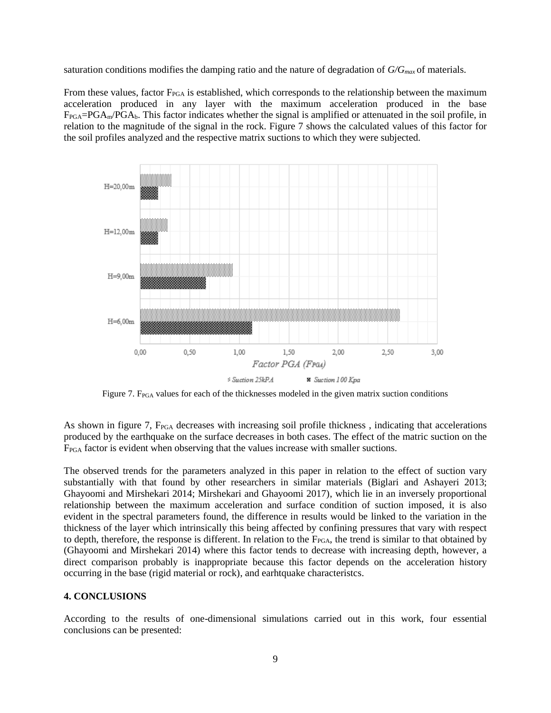saturation conditions modifies the damping ratio and the nature of degradation of *G/Gmax* of materials.

From these values, factor  $F_{PGA}$  is established, which corresponds to the relationship between the maximum acceleration produced in any layer with the maximum acceleration produced in the base  $F_{PGA}=PGA_m/PGA_b$ . This factor indicates whether the signal is amplified or attenuated in the soil profile, in relation to the magnitude of the signal in the rock. Figure 7 shows the calculated values of this factor for the soil profiles analyzed and the respective matrix suctions to which they were subjected.



Figure 7. F<sub>PGA</sub> values for each of the thicknesses modeled in the given matrix suction conditions

As shown in figure 7, F<sub>PGA</sub> decreases with increasing soil profile thickness, indicating that accelerations produced by the earthquake on the surface decreases in both cases. The effect of the matric suction on the F<sub>PGA</sub> factor is evident when observing that the values increase with smaller suctions.

The observed trends for the parameters analyzed in this paper in relation to the effect of suction vary substantially with that found by other researchers in similar materials (Biglari and Ashayeri 2013; Ghayoomi and Mirshekari 2014; Mirshekari and Ghayoomi 2017), which lie in an inversely proportional relationship between the maximum acceleration and surface condition of suction imposed, it is also evident in the spectral parameters found, the difference in results would be linked to the variation in the thickness of the layer which intrinsically this being affected by confining pressures that vary with respect to depth, therefore, the response is different. In relation to the F<sub>PGA</sub>, the trend is similar to that obtained by (Ghayoomi and Mirshekari 2014) where this factor tends to decrease with increasing depth, however, a direct comparison probably is inappropriate because this factor depends on the acceleration history occurring in the base (rigid material or rock), and earhtquake characteristcs.

# **4. CONCLUSIONS**

According to the results of one-dimensional simulations carried out in this work, four essential conclusions can be presented: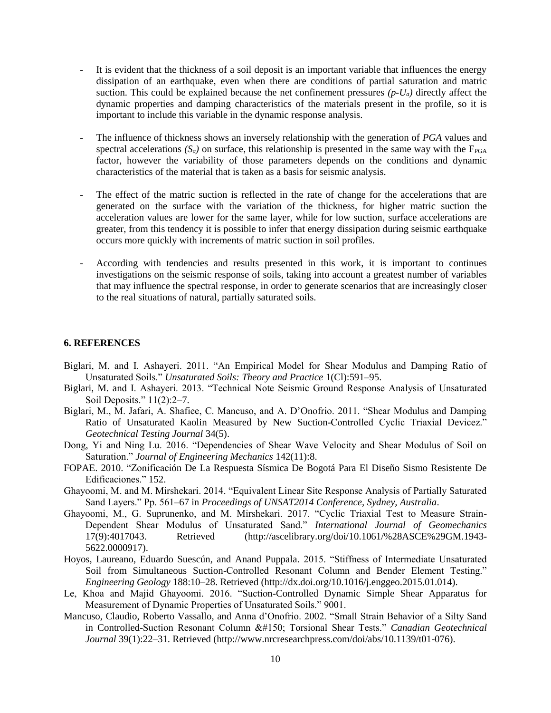- It is evident that the thickness of a soil deposit is an important variable that influences the energy dissipation of an earthquake, even when there are conditions of partial saturation and matric suction. This could be explained because the net confinement pressures  $(p-U_a)$  directly affect the dynamic properties and damping characteristics of the materials present in the profile, so it is important to include this variable in the dynamic response analysis.
- The influence of thickness shows an inversely relationship with the generation of *PGA* values and spectral accelerations  $(S_a)$  on surface, this relationship is presented in the same way with the  $F_{PGA}$ factor, however the variability of those parameters depends on the conditions and dynamic characteristics of the material that is taken as a basis for seismic analysis.
- The effect of the matric suction is reflected in the rate of change for the accelerations that are generated on the surface with the variation of the thickness, for higher matric suction the acceleration values are lower for the same layer, while for low suction, surface accelerations are greater, from this tendency it is possible to infer that energy dissipation during seismic earthquake occurs more quickly with increments of matric suction in soil profiles.
- According with tendencies and results presented in this work, it is important to continues investigations on the seismic response of soils, taking into account a greatest number of variables that may influence the spectral response, in order to generate scenarios that are increasingly closer to the real situations of natural, partially saturated soils.

# **6. REFERENCES**

- Biglari, M. and I. Ashayeri. 2011. "An Empirical Model for Shear Modulus and Damping Ratio of Unsaturated Soils." *Unsaturated Soils: Theory and Practice* 1(Cl):591–95.
- Biglari, M. and I. Ashayeri. 2013. "Technical Note Seismic Ground Response Analysis of Unsaturated Soil Deposits." 11(2):2–7.
- Biglari, M., M. Jafari, A. Shafiee, C. Mancuso, and A. D'Onofrio. 2011. "Shear Modulus and Damping Ratio of Unsaturated Kaolin Measured by New Suction-Controlled Cyclic Triaxial Devicez." *Geotechnical Testing Journal* 34(5).
- Dong, Yi and Ning Lu. 2016. "Dependencies of Shear Wave Velocity and Shear Modulus of Soil on Saturation." *Journal of Engineering Mechanics* 142(11):8.
- FOPAE. 2010. "Zonificación De La Respuesta Sísmica De Bogotá Para El Diseño Sismo Resistente De Edificaciones." 152.
- Ghayoomi, M. and M. Mirshekari. 2014. "Equivalent Linear Site Response Analysis of Partially Saturated Sand Layers." Pp. 561–67 in *Proceedings of UNSAT2014 Conference, Sydney, Australia*.
- Ghayoomi, M., G. Suprunenko, and M. Mirshekari. 2017. "Cyclic Triaxial Test to Measure Strain-Dependent Shear Modulus of Unsaturated Sand." *International Journal of Geomechanics* 17(9):4017043. Retrieved (http://ascelibrary.org/doi/10.1061/%28ASCE%29GM.1943- 5622.0000917).
- Hoyos, Laureano, Eduardo Suescún, and Anand Puppala. 2015. "Stiffness of Intermediate Unsaturated Soil from Simultaneous Suction-Controlled Resonant Column and Bender Element Testing." *Engineering Geology* 188:10–28. Retrieved (http://dx.doi.org/10.1016/j.enggeo.2015.01.014).
- Le, Khoa and Majid Ghayoomi. 2016. "Suction-Controlled Dynamic Simple Shear Apparatus for Measurement of Dynamic Properties of Unsaturated Soils." 9001.
- Mancuso, Claudio, Roberto Vassallo, and Anna d'Onofrio. 2002. "Small Strain Behavior of a Silty Sand in Controlled-Suction Resonant Column – Torsional Shear Tests." Canadian Geotechnical *Journal* 39(1):22–31. Retrieved (http://www.nrcresearchpress.com/doi/abs/10.1139/t01-076).